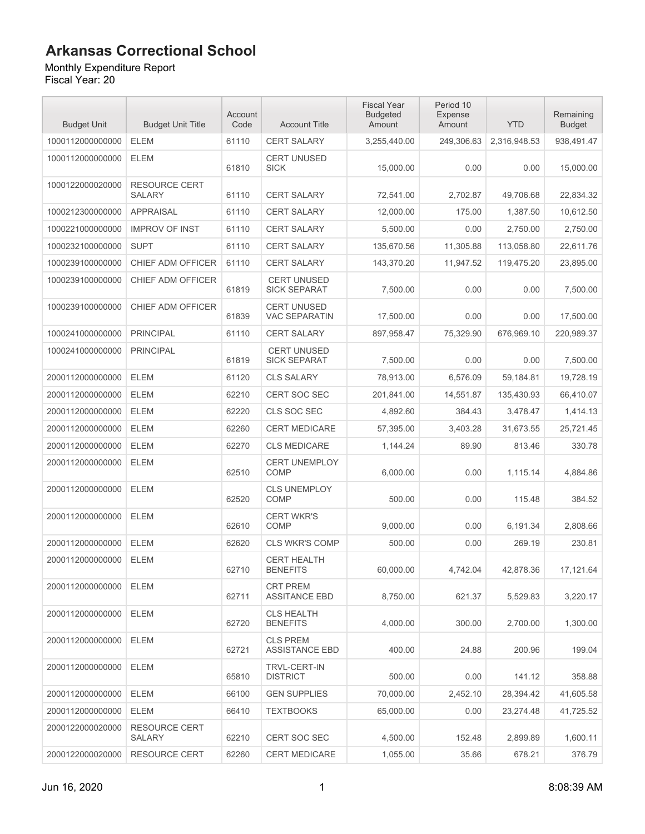#### Monthly Expenditure Report

| <b>Budget Unit</b> | <b>Budget Unit Title</b>              | Account<br>Code | <b>Account Title</b>                       | <b>Fiscal Year</b><br><b>Budgeted</b><br>Amount | Period 10<br>Expense<br>Amount | <b>YTD</b>   | Remaining<br><b>Budget</b> |
|--------------------|---------------------------------------|-----------------|--------------------------------------------|-------------------------------------------------|--------------------------------|--------------|----------------------------|
| 1000112000000000   | <b>ELEM</b>                           | 61110           | <b>CERT SALARY</b>                         | 3,255,440.00                                    | 249,306.63                     | 2,316,948.53 | 938,491.47                 |
| 1000112000000000   | <b>ELEM</b>                           | 61810           | <b>CERT UNUSED</b><br><b>SICK</b>          | 15,000.00                                       | 0.00                           | 0.00         | 15,000.00                  |
| 1000122000020000   | <b>RESOURCE CERT</b><br><b>SALARY</b> | 61110           | <b>CERT SALARY</b>                         | 72,541.00                                       | 2,702.87                       | 49,706.68    | 22,834.32                  |
| 1000212300000000   | <b>APPRAISAL</b>                      | 61110           | <b>CERT SALARY</b>                         | 12,000.00                                       | 175.00                         | 1,387.50     | 10,612.50                  |
| 1000221000000000   | <b>IMPROV OF INST</b>                 | 61110           | <b>CERT SALARY</b>                         | 5,500.00                                        | 0.00                           | 2,750.00     | 2,750.00                   |
| 1000232100000000   | <b>SUPT</b>                           | 61110           | <b>CERT SALARY</b>                         | 135,670.56                                      | 11,305.88                      | 113,058.80   | 22,611.76                  |
| 1000239100000000   | CHIEF ADM OFFICER                     | 61110           | <b>CERT SALARY</b>                         | 143,370.20                                      | 11,947.52                      | 119,475.20   | 23,895.00                  |
| 1000239100000000   | CHIEF ADM OFFICER                     | 61819           | <b>CERT UNUSED</b><br><b>SICK SEPARAT</b>  | 7,500.00                                        | 0.00                           | 0.00         | 7,500.00                   |
| 1000239100000000   | CHIEF ADM OFFICER                     | 61839           | <b>CERT UNUSED</b><br><b>VAC SEPARATIN</b> | 17,500.00                                       | 0.00                           | 0.00         | 17,500.00                  |
| 1000241000000000   | <b>PRINCIPAL</b>                      | 61110           | <b>CERT SALARY</b>                         | 897,958.47                                      | 75,329.90                      | 676.969.10   | 220,989.37                 |
| 1000241000000000   | <b>PRINCIPAL</b>                      | 61819           | <b>CERT UNUSED</b><br><b>SICK SEPARAT</b>  | 7.500.00                                        | 0.00                           | 0.00         | 7,500.00                   |
| 2000112000000000   | <b>ELEM</b>                           | 61120           | <b>CLS SALARY</b>                          | 78,913.00                                       | 6,576.09                       | 59,184.81    | 19,728.19                  |
| 2000112000000000   | <b>ELEM</b>                           | 62210           | <b>CERT SOC SEC</b>                        | 201,841.00                                      | 14,551.87                      | 135.430.93   | 66,410.07                  |
| 2000112000000000   | <b>ELEM</b>                           | 62220           | CLS SOC SEC                                | 4,892.60                                        | 384.43                         | 3,478.47     | 1,414.13                   |
| 2000112000000000   | <b>ELEM</b>                           | 62260           | <b>CERT MEDICARE</b>                       | 57,395.00                                       | 3,403.28                       | 31,673.55    | 25,721.45                  |
| 2000112000000000   | <b>ELEM</b>                           | 62270           | <b>CLS MEDICARE</b>                        | 1,144.24                                        | 89.90                          | 813.46       | 330.78                     |
| 2000112000000000   | <b>ELEM</b>                           | 62510           | <b>CERT UNEMPLOY</b><br><b>COMP</b>        | 6,000.00                                        | 0.00                           | 1,115.14     | 4,884.86                   |
| 2000112000000000   | <b>ELEM</b>                           | 62520           | <b>CLS UNEMPLOY</b><br><b>COMP</b>         | 500.00                                          | 0.00                           | 115.48       | 384.52                     |
| 2000112000000000   | <b>ELEM</b>                           | 62610           | <b>CERT WKR'S</b><br><b>COMP</b>           | 9,000.00                                        | 0.00                           | 6,191.34     | 2,808.66                   |
| 2000112000000000   | <b>ELEM</b>                           | 62620           | <b>CLS WKR'S COMP</b>                      | 500.00                                          | 0.00                           | 269.19       | 230.81                     |
| 2000112000000000   | <b>ELEM</b>                           | 62710           | <b>CERT HEALTH</b><br><b>BENEFITS</b>      | 60,000.00                                       | 4,742.04                       | 42,878.36    | 17,121.64                  |
| 2000112000000000   | <b>ELEM</b>                           | 62711           | <b>CRT PREM</b><br><b>ASSITANCE EBD</b>    | 8,750.00                                        | 621.37                         | 5,529.83     | 3,220.17                   |
| 2000112000000000   | ELEM                                  | 62720           | <b>CLS HEALTH</b><br><b>BENEFITS</b>       | 4,000.00                                        | 300.00                         | 2,700.00     | 1,300.00                   |
| 2000112000000000   | <b>ELEM</b>                           | 62721           | <b>CLS PREM</b><br><b>ASSISTANCE EBD</b>   | 400.00                                          | 24.88                          | 200.96       | 199.04                     |
| 2000112000000000   | <b>ELEM</b>                           | 65810           | <b>TRVL-CERT-IN</b><br><b>DISTRICT</b>     | 500.00                                          | 0.00                           | 141.12       | 358.88                     |
| 2000112000000000   | <b>ELEM</b>                           | 66100           | <b>GEN SUPPLIES</b>                        | 70,000.00                                       | 2,452.10                       | 28,394.42    | 41,605.58                  |
| 2000112000000000   | <b>ELEM</b>                           | 66410           | <b>TEXTBOOKS</b>                           | 65,000.00                                       | 0.00                           | 23,274.48    | 41,725.52                  |
| 2000122000020000   | <b>RESOURCE CERT</b><br>SALARY        | 62210           | <b>CERT SOC SEC</b>                        | 4,500.00                                        | 152.48                         | 2,899.89     | 1,600.11                   |
| 2000122000020000   | <b>RESOURCE CERT</b>                  | 62260           | <b>CERT MEDICARE</b>                       | 1,055.00                                        | 35.66                          | 678.21       | 376.79                     |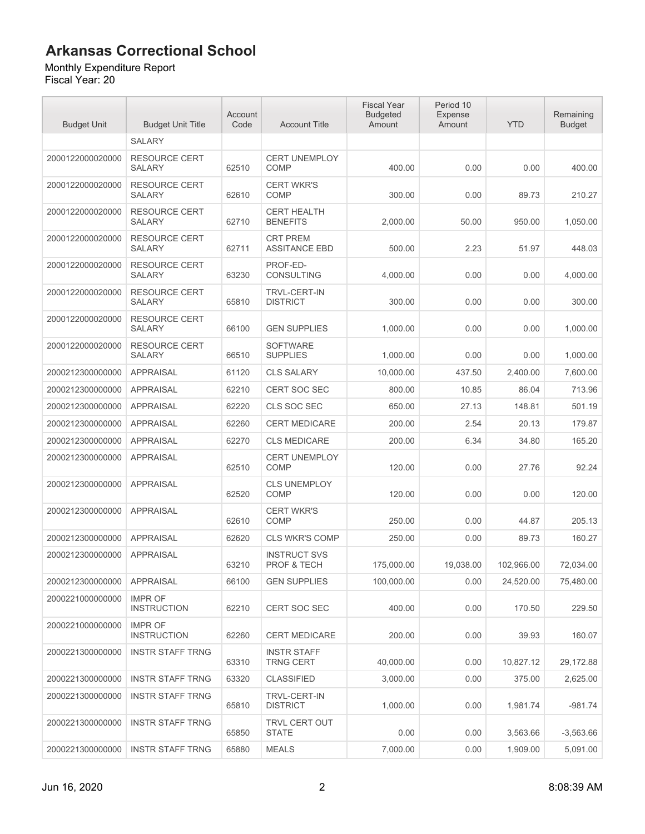#### Monthly Expenditure Report

| <b>Budget Unit</b> | <b>Budget Unit Title</b>              | Account<br>Code | <b>Account Title</b>                          | <b>Fiscal Year</b><br><b>Budgeted</b><br>Amount | Period 10<br>Expense<br>Amount | <b>YTD</b> | Remaining<br><b>Budget</b> |
|--------------------|---------------------------------------|-----------------|-----------------------------------------------|-------------------------------------------------|--------------------------------|------------|----------------------------|
|                    | <b>SALARY</b>                         |                 |                                               |                                                 |                                |            |                            |
| 2000122000020000   | <b>RESOURCE CERT</b><br><b>SALARY</b> | 62510           | <b>CERT UNEMPLOY</b><br><b>COMP</b>           | 400.00                                          | 0.00                           | 0.00       | 400.00                     |
| 2000122000020000   | <b>RESOURCE CERT</b><br><b>SALARY</b> | 62610           | <b>CERT WKR'S</b><br><b>COMP</b>              | 300.00                                          | 0.00                           | 89.73      | 210.27                     |
| 2000122000020000   | <b>RESOURCE CERT</b><br>SALARY        | 62710           | <b>CERT HEALTH</b><br><b>BENEFITS</b>         | 2,000.00                                        | 50.00                          | 950.00     | 1,050.00                   |
| 2000122000020000   | <b>RESOURCE CERT</b><br><b>SALARY</b> | 62711           | <b>CRT PREM</b><br><b>ASSITANCE EBD</b>       | 500.00                                          | 2.23                           | 51.97      | 448.03                     |
| 2000122000020000   | <b>RESOURCE CERT</b><br><b>SALARY</b> | 63230           | PROF-ED-<br><b>CONSULTING</b>                 | 4,000.00                                        | 0.00                           | 0.00       | 4,000.00                   |
| 2000122000020000   | <b>RESOURCE CERT</b><br><b>SALARY</b> | 65810           | <b>TRVL-CERT-IN</b><br><b>DISTRICT</b>        | 300.00                                          | 0.00                           | 0.00       | 300.00                     |
| 2000122000020000   | <b>RESOURCE CERT</b><br><b>SALARY</b> | 66100           | <b>GEN SUPPLIES</b>                           | 1,000.00                                        | 0.00                           | 0.00       | 1,000.00                   |
| 2000122000020000   | <b>RESOURCE CERT</b><br><b>SALARY</b> | 66510           | <b>SOFTWARE</b><br><b>SUPPLIES</b>            | 1,000.00                                        | 0.00                           | 0.00       | 1,000.00                   |
| 2000212300000000   | <b>APPRAISAL</b>                      | 61120           | <b>CLS SALARY</b>                             | 10,000.00                                       | 437.50                         | 2,400.00   | 7,600.00                   |
| 2000212300000000   | <b>APPRAISAL</b>                      | 62210           | <b>CERT SOC SEC</b>                           | 800.00                                          | 10.85                          | 86.04      | 713.96                     |
| 2000212300000000   | <b>APPRAISAL</b>                      | 62220           | CLS SOC SEC                                   | 650.00                                          | 27.13                          | 148.81     | 501.19                     |
| 2000212300000000   | <b>APPRAISAL</b>                      | 62260           | <b>CERT MEDICARE</b>                          | 200.00                                          | 2.54                           | 20.13      | 179.87                     |
| 2000212300000000   | <b>APPRAISAL</b>                      | 62270           | <b>CLS MEDICARE</b>                           | 200.00                                          | 6.34                           | 34.80      | 165.20                     |
| 2000212300000000   | <b>APPRAISAL</b>                      | 62510           | <b>CERT UNEMPLOY</b><br><b>COMP</b>           | 120.00                                          | 0.00                           | 27.76      | 92.24                      |
| 2000212300000000   | <b>APPRAISAL</b>                      | 62520           | <b>CLS UNEMPLOY</b><br><b>COMP</b>            | 120.00                                          | 0.00                           | 0.00       | 120.00                     |
| 2000212300000000   | <b>APPRAISAL</b>                      | 62610           | <b>CERT WKR'S</b><br><b>COMP</b>              | 250.00                                          | 0.00                           | 44.87      | 205.13                     |
| 2000212300000000   | <b>APPRAISAL</b>                      | 62620           | <b>CLS WKR'S COMP</b>                         | 250.00                                          | 0.00                           | 89.73      | 160.27                     |
| 2000212300000000   | <b>APPRAISAL</b>                      | 63210           | <b>INSTRUCT SVS</b><br><b>PROF &amp; TECH</b> | 175,000.00                                      | 19,038.00                      | 102,966.00 | 72,034.00                  |
| 2000212300000000   | <b>APPRAISAL</b>                      | 66100           | <b>GEN SUPPLIES</b>                           | 100,000.00                                      | 0.00                           | 24,520.00  | 75,480.00                  |
| 2000221000000000   | <b>IMPR OF</b><br><b>INSTRUCTION</b>  | 62210           | <b>CERT SOC SEC</b>                           | 400.00                                          | 0.00                           | 170.50     | 229.50                     |
| 2000221000000000   | <b>IMPR OF</b><br><b>INSTRUCTION</b>  | 62260           | <b>CERT MEDICARE</b>                          | 200.00                                          | 0.00                           | 39.93      | 160.07                     |
| 2000221300000000   | <b>INSTR STAFF TRNG</b>               | 63310           | <b>INSTR STAFF</b><br><b>TRNG CERT</b>        | 40,000.00                                       | 0.00                           | 10,827.12  | 29,172.88                  |
| 2000221300000000   | <b>INSTR STAFF TRNG</b>               | 63320           | <b>CLASSIFIED</b>                             | 3,000.00                                        | 0.00                           | 375.00     | 2,625.00                   |
| 2000221300000000   | <b>INSTR STAFF TRNG</b>               | 65810           | <b>TRVL-CERT-IN</b><br><b>DISTRICT</b>        | 1,000.00                                        | 0.00                           | 1,981.74   | $-981.74$                  |
| 2000221300000000   | <b>INSTR STAFF TRNG</b>               | 65850           | <b>TRVL CERT OUT</b><br><b>STATE</b>          | 0.00                                            | 0.00                           | 3,563.66   | $-3,563.66$                |
| 2000221300000000   | <b>INSTR STAFF TRNG</b>               | 65880           | <b>MEALS</b>                                  | 7,000.00                                        | 0.00                           | 1,909.00   | 5,091.00                   |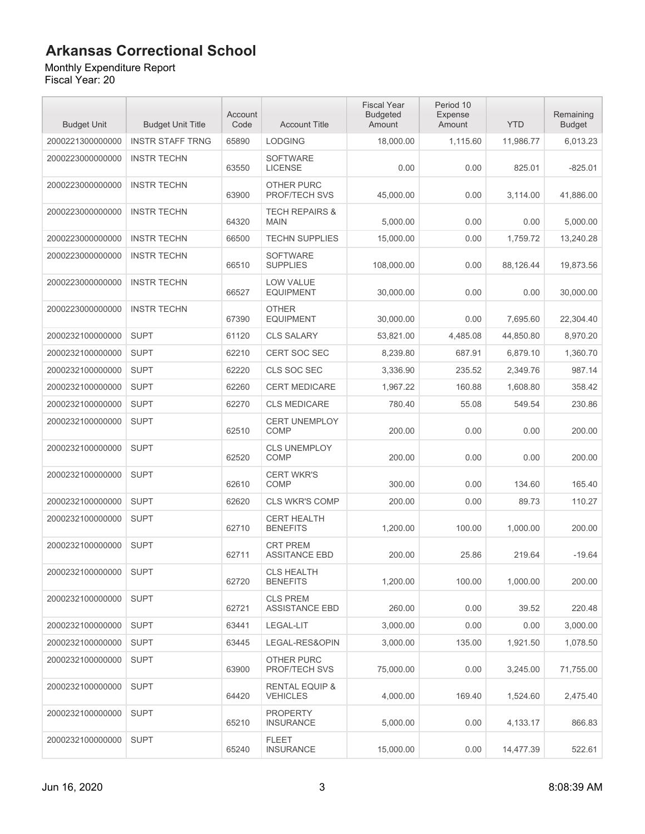#### Monthly Expenditure Report

| <b>Budget Unit</b> | <b>Budget Unit Title</b> | Account<br>Code | <b>Account Title</b>                         | <b>Fiscal Year</b><br><b>Budgeted</b><br>Amount | Period 10<br>Expense<br>Amount | <b>YTD</b> | Remaining<br><b>Budget</b> |
|--------------------|--------------------------|-----------------|----------------------------------------------|-------------------------------------------------|--------------------------------|------------|----------------------------|
| 2000221300000000   | <b>INSTR STAFF TRNG</b>  | 65890           | <b>LODGING</b>                               | 18,000.00                                       | 1,115.60                       | 11,986.77  | 6,013.23                   |
| 2000223000000000   | <b>INSTR TECHN</b>       | 63550           | <b>SOFTWARE</b><br><b>LICENSE</b>            | 0.00                                            | 0.00                           | 825.01     | $-825.01$                  |
| 2000223000000000   | <b>INSTR TECHN</b>       | 63900           | OTHER PURC<br>PROF/TECH SVS                  | 45,000.00                                       | 0.00                           | 3,114.00   | 41,886.00                  |
| 2000223000000000   | <b>INSTR TECHN</b>       | 64320           | <b>TECH REPAIRS &amp;</b><br><b>MAIN</b>     | 5,000.00                                        | 0.00                           | 0.00       | 5,000.00                   |
| 2000223000000000   | <b>INSTR TECHN</b>       | 66500           | <b>TECHN SUPPLIES</b>                        | 15,000.00                                       | 0.00                           | 1,759.72   | 13,240.28                  |
| 2000223000000000   | <b>INSTR TECHN</b>       | 66510           | <b>SOFTWARE</b><br><b>SUPPLIES</b>           | 108,000.00                                      | 0.00                           | 88,126.44  | 19,873.56                  |
| 2000223000000000   | <b>INSTR TECHN</b>       | 66527           | <b>LOW VALUE</b><br><b>EQUIPMENT</b>         | 30,000.00                                       | 0.00                           | 0.00       | 30,000.00                  |
| 2000223000000000   | <b>INSTR TECHN</b>       | 67390           | <b>OTHER</b><br><b>EQUIPMENT</b>             | 30,000.00                                       | 0.00                           | 7,695.60   | 22,304.40                  |
| 2000232100000000   | <b>SUPT</b>              | 61120           | <b>CLS SALARY</b>                            | 53,821.00                                       | 4,485.08                       | 44,850.80  | 8,970.20                   |
| 2000232100000000   | <b>SUPT</b>              | 62210           | <b>CERT SOC SEC</b>                          | 8.239.80                                        | 687.91                         | 6,879.10   | 1,360.70                   |
| 2000232100000000   | <b>SUPT</b>              | 62220           | CLS SOC SEC                                  | 3,336.90                                        | 235.52                         | 2,349.76   | 987.14                     |
| 2000232100000000   | <b>SUPT</b>              | 62260           | <b>CERT MEDICARE</b>                         | 1.967.22                                        | 160.88                         | 1,608.80   | 358.42                     |
| 2000232100000000   | <b>SUPT</b>              | 62270           | <b>CLS MEDICARE</b>                          | 780.40                                          | 55.08                          | 549.54     | 230.86                     |
| 2000232100000000   | <b>SUPT</b>              | 62510           | <b>CERT UNEMPLOY</b><br>COMP                 | 200.00                                          | 0.00                           | 0.00       | 200.00                     |
| 2000232100000000   | <b>SUPT</b>              | 62520           | <b>CLS UNEMPLOY</b><br><b>COMP</b>           | 200.00                                          | 0.00                           | 0.00       | 200.00                     |
| 2000232100000000   | <b>SUPT</b>              | 62610           | <b>CERT WKR'S</b><br><b>COMP</b>             | 300.00                                          | 0.00                           | 134.60     | 165.40                     |
| 2000232100000000   | <b>SUPT</b>              | 62620           | <b>CLS WKR'S COMP</b>                        | 200.00                                          | 0.00                           | 89.73      | 110.27                     |
| 2000232100000000   | <b>SUPT</b>              | 62710           | <b>CERT HEALTH</b><br><b>BENEFITS</b>        | 1,200.00                                        | 100.00                         | 1,000.00   | 200.00                     |
| 2000232100000000   | <b>SUPT</b>              | 62711           | <b>CRT PREM</b><br><b>ASSITANCE EBD</b>      | 200.00                                          | 25.86                          | 219.64     | $-19.64$                   |
| 2000232100000000   | <b>SUPT</b>              | 62720           | CLS HEALTH<br><b>BENEFITS</b>                | 1,200.00                                        | 100.00                         | 1.000.00   | 200.00                     |
| 2000232100000000   | <b>SUPT</b>              | 62721           | <b>CLS PREM</b><br><b>ASSISTANCE EBD</b>     | 260.00                                          | 0.00                           | 39.52      | 220.48                     |
| 2000232100000000   | <b>SUPT</b>              | 63441           | LEGAL-LIT                                    | 3,000.00                                        | 0.00                           | 0.00       | 3,000.00                   |
| 2000232100000000   | <b>SUPT</b>              | 63445           | LEGAL-RES&OPIN                               | 3,000.00                                        | 135.00                         | 1,921.50   | 1,078.50                   |
| 2000232100000000   | <b>SUPT</b>              | 63900           | OTHER PURC<br>PROF/TECH SVS                  | 75,000.00                                       | 0.00                           | 3,245.00   | 71,755.00                  |
| 2000232100000000   | <b>SUPT</b>              | 64420           | <b>RENTAL EQUIP &amp;</b><br><b>VEHICLES</b> | 4,000.00                                        | 169.40                         | 1,524.60   | 2,475.40                   |
| 2000232100000000   | <b>SUPT</b>              | 65210           | <b>PROPERTY</b><br><b>INSURANCE</b>          | 5,000.00                                        | 0.00                           | 4,133.17   | 866.83                     |
| 2000232100000000   | <b>SUPT</b>              | 65240           | <b>FLEET</b><br><b>INSURANCE</b>             | 15,000.00                                       | 0.00                           | 14,477.39  | 522.61                     |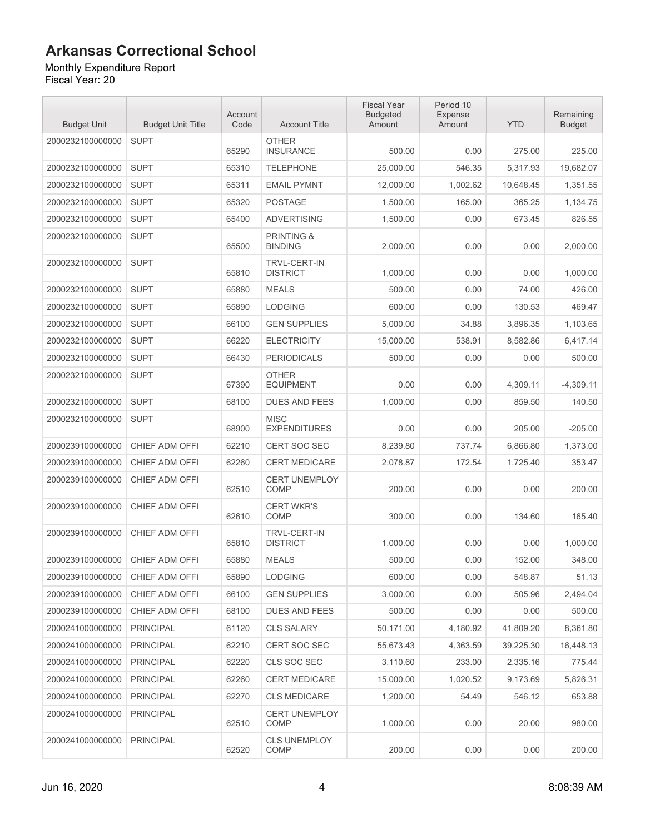Monthly Expenditure Report Fiscal Year: 20

| <b>Budget Unit</b> | <b>Budget Unit Title</b> | Account<br>Code | <b>Account Title</b>                    | <b>Fiscal Year</b><br><b>Budgeted</b><br>Amount | Period 10<br>Expense<br>Amount | <b>YTD</b> | Remaining<br><b>Budget</b> |
|--------------------|--------------------------|-----------------|-----------------------------------------|-------------------------------------------------|--------------------------------|------------|----------------------------|
| 2000232100000000   | <b>SUPT</b>              | 65290           | <b>OTHER</b><br><b>INSURANCE</b>        | 500.00                                          | 0.00                           | 275.00     | 225.00                     |
| 2000232100000000   | <b>SUPT</b>              | 65310           | <b>TELEPHONE</b>                        | 25,000.00                                       | 546.35                         | 5.317.93   | 19,682.07                  |
| 2000232100000000   | <b>SUPT</b>              | 65311           | <b>EMAIL PYMNT</b>                      | 12,000.00                                       | 1,002.62                       | 10,648.45  | 1,351.55                   |
| 2000232100000000   | <b>SUPT</b>              | 65320           | <b>POSTAGE</b>                          | 1,500.00                                        | 165.00                         | 365.25     | 1,134.75                   |
| 2000232100000000   | <b>SUPT</b>              | 65400           | <b>ADVERTISING</b>                      | 1,500.00                                        | 0.00                           | 673.45     | 826.55                     |
| 2000232100000000   | <b>SUPT</b>              | 65500           | <b>PRINTING &amp;</b><br><b>BINDING</b> | 2,000.00                                        | 0.00                           | 0.00       | 2.000.00                   |
| 2000232100000000   | <b>SUPT</b>              | 65810           | <b>TRVL-CERT-IN</b><br><b>DISTRICT</b>  | 1,000.00                                        | 0.00                           | 0.00       | 1,000.00                   |
| 2000232100000000   | <b>SUPT</b>              | 65880           | <b>MEALS</b>                            | 500.00                                          | 0.00                           | 74.00      | 426.00                     |
| 2000232100000000   | <b>SUPT</b>              | 65890           | <b>LODGING</b>                          | 600.00                                          | 0.00                           | 130.53     | 469.47                     |
| 2000232100000000   | <b>SUPT</b>              | 66100           | <b>GEN SUPPLIES</b>                     | 5,000.00                                        | 34.88                          | 3,896.35   | 1,103.65                   |
| 2000232100000000   | <b>SUPT</b>              | 66220           | <b>ELECTRICITY</b>                      | 15,000.00                                       | 538.91                         | 8,582.86   | 6,417.14                   |
| 2000232100000000   | <b>SUPT</b>              | 66430           | <b>PERIODICALS</b>                      | 500.00                                          | 0.00                           | 0.00       | 500.00                     |
| 2000232100000000   | <b>SUPT</b>              | 67390           | <b>OTHER</b><br><b>EQUIPMENT</b>        | 0.00                                            | 0.00                           | 4,309.11   | $-4,309.11$                |
| 2000232100000000   | <b>SUPT</b>              | 68100           | <b>DUES AND FEES</b>                    | 1,000.00                                        | 0.00                           | 859.50     | 140.50                     |
| 2000232100000000   | <b>SUPT</b>              | 68900           | <b>MISC</b><br><b>EXPENDITURES</b>      | 0.00                                            | 0.00                           | 205.00     | $-205.00$                  |
| 2000239100000000   | CHIEF ADM OFFI           | 62210           | <b>CERT SOC SEC</b>                     | 8,239.80                                        | 737.74                         | 6,866.80   | 1,373.00                   |
| 2000239100000000   | CHIEF ADM OFFI           | 62260           | <b>CERT MEDICARE</b>                    | 2,078.87                                        | 172.54                         | 1,725.40   | 353.47                     |
| 2000239100000000   | CHIEF ADM OFFI           | 62510           | <b>CERT UNEMPLOY</b><br><b>COMP</b>     | 200.00                                          | 0.00                           | 0.00       | 200.00                     |
| 2000239100000000   | CHIEF ADM OFFI           | 62610           | <b>CERT WKR'S</b><br><b>COMP</b>        | 300.00                                          | 0.00                           | 134.60     | 165.40                     |
| 2000239100000000   | CHIEF ADM OFFI           | 65810           | <b>TRVL-CERT-IN</b><br><b>DISTRICT</b>  | 1,000.00                                        | 0.00                           | 0.00       | 1.000.00                   |
| 2000239100000000   | CHIEF ADM OFFI           | 65880           | <b>MEALS</b>                            | 500.00                                          | 0.00                           | 152.00     | 348.00                     |
| 2000239100000000   | CHIEF ADM OFFI           | 65890           | <b>LODGING</b>                          | 600.00                                          | 0.00                           | 548.87     | 51.13                      |
| 2000239100000000   | CHIEF ADM OFFI           | 66100           | <b>GEN SUPPLIES</b>                     | 3,000.00                                        | 0.00                           | 505.96     | 2,494.04                   |
| 2000239100000000   | CHIEF ADM OFFI           | 68100           | <b>DUES AND FEES</b>                    | 500.00                                          | 0.00                           | 0.00       | 500.00                     |
| 2000241000000000   | <b>PRINCIPAL</b>         | 61120           | <b>CLS SALARY</b>                       | 50,171.00                                       | 4,180.92                       | 41,809.20  | 8,361.80                   |
| 2000241000000000   | <b>PRINCIPAL</b>         | 62210           | CERT SOC SEC                            | 55,673.43                                       | 4,363.59                       | 39,225.30  | 16,448.13                  |
| 2000241000000000   | <b>PRINCIPAL</b>         | 62220           | CLS SOC SEC                             | 3,110.60                                        | 233.00                         | 2,335.16   | 775.44                     |
| 2000241000000000   | <b>PRINCIPAL</b>         | 62260           | <b>CERT MEDICARE</b>                    | 15,000.00                                       | 1,020.52                       | 9,173.69   | 5,826.31                   |
| 2000241000000000   | <b>PRINCIPAL</b>         | 62270           | <b>CLS MEDICARE</b>                     | 1,200.00                                        | 54.49                          | 546.12     | 653.88                     |
| 2000241000000000   | <b>PRINCIPAL</b>         | 62510           | <b>CERT UNEMPLOY</b><br>COMP            | 1,000.00                                        | 0.00                           | 20.00      | 980.00                     |
| 2000241000000000   | <b>PRINCIPAL</b>         | 62520           | <b>CLS UNEMPLOY</b><br>COMP             | 200.00                                          | 0.00                           | 0.00       | 200.00                     |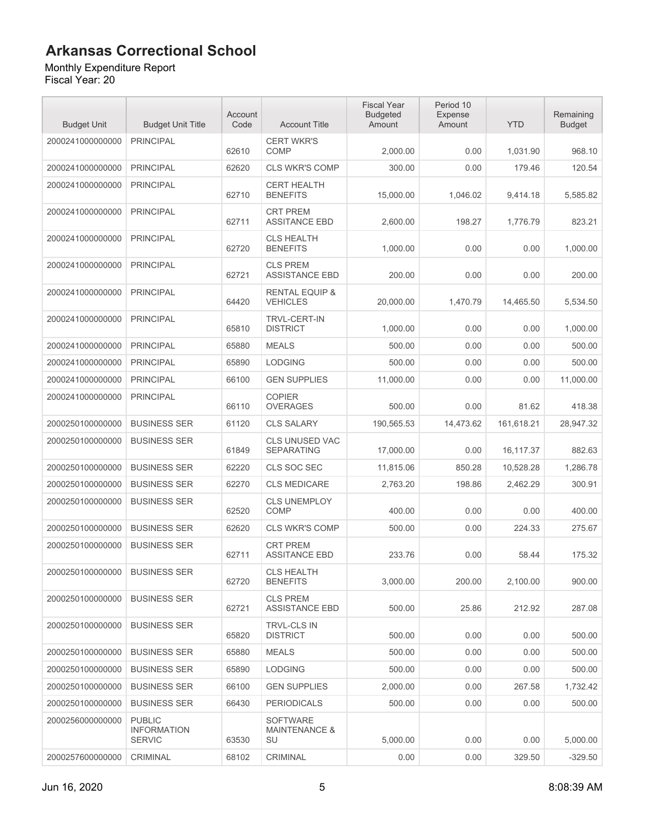#### Monthly Expenditure Report

| <b>Budget Unit</b> | <b>Budget Unit Title</b>                             | Account<br>Code | <b>Account Title</b>                              | <b>Fiscal Year</b><br><b>Budgeted</b><br>Amount | Period 10<br>Expense<br>Amount | <b>YTD</b> | Remaining<br><b>Budget</b> |
|--------------------|------------------------------------------------------|-----------------|---------------------------------------------------|-------------------------------------------------|--------------------------------|------------|----------------------------|
| 2000241000000000   | <b>PRINCIPAL</b>                                     | 62610           | <b>CERT WKR'S</b><br><b>COMP</b>                  | 2,000.00                                        | 0.00                           | 1,031.90   | 968.10                     |
| 2000241000000000   | <b>PRINCIPAL</b>                                     | 62620           | <b>CLS WKR'S COMP</b>                             | 300.00                                          | 0.00                           | 179.46     | 120.54                     |
| 2000241000000000   | <b>PRINCIPAL</b>                                     | 62710           | <b>CERT HEALTH</b><br><b>BENEFITS</b>             | 15,000.00                                       | 1,046.02                       | 9,414.18   | 5,585.82                   |
| 2000241000000000   | <b>PRINCIPAL</b>                                     | 62711           | <b>CRT PREM</b><br><b>ASSITANCE EBD</b>           | 2,600.00                                        | 198.27                         | 1,776.79   | 823.21                     |
| 2000241000000000   | <b>PRINCIPAL</b>                                     | 62720           | <b>CLS HEALTH</b><br><b>BENEFITS</b>              | 1,000.00                                        | 0.00                           | 0.00       | 1,000.00                   |
| 2000241000000000   | <b>PRINCIPAL</b>                                     | 62721           | <b>CLS PREM</b><br><b>ASSISTANCE EBD</b>          | 200.00                                          | 0.00                           | 0.00       | 200.00                     |
| 2000241000000000   | <b>PRINCIPAL</b>                                     | 64420           | <b>RENTAL EQUIP &amp;</b><br><b>VEHICLES</b>      | 20,000.00                                       | 1,470.79                       | 14,465.50  | 5,534.50                   |
| 2000241000000000   | <b>PRINCIPAL</b>                                     | 65810           | <b>TRVL-CERT-IN</b><br><b>DISTRICT</b>            | 1,000.00                                        | 0.00                           | 0.00       | 1,000.00                   |
| 2000241000000000   | <b>PRINCIPAL</b>                                     | 65880           | <b>MEALS</b>                                      | 500.00                                          | 0.00                           | 0.00       | 500.00                     |
| 2000241000000000   | <b>PRINCIPAL</b>                                     | 65890           | <b>LODGING</b>                                    | 500.00                                          | 0.00                           | 0.00       | 500.00                     |
| 2000241000000000   | <b>PRINCIPAL</b>                                     | 66100           | <b>GEN SUPPLIES</b>                               | 11,000.00                                       | 0.00                           | 0.00       | 11,000.00                  |
| 2000241000000000   | <b>PRINCIPAL</b>                                     | 66110           | <b>COPIER</b><br><b>OVERAGES</b>                  | 500.00                                          | 0.00                           | 81.62      | 418.38                     |
| 2000250100000000   | <b>BUSINESS SER</b>                                  | 61120           | <b>CLS SALARY</b>                                 | 190,565.53                                      | 14,473.62                      | 161,618.21 | 28,947.32                  |
| 2000250100000000   | <b>BUSINESS SER</b>                                  | 61849           | <b>CLS UNUSED VAC</b><br><b>SEPARATING</b>        | 17,000.00                                       | 0.00                           | 16,117.37  | 882.63                     |
| 2000250100000000   | <b>BUSINESS SER</b>                                  | 62220           | CLS SOC SEC                                       | 11,815.06                                       | 850.28                         | 10,528.28  | 1,286.78                   |
| 2000250100000000   | <b>BUSINESS SER</b>                                  | 62270           | <b>CLS MEDICARE</b>                               | 2,763.20                                        | 198.86                         | 2,462.29   | 300.91                     |
| 2000250100000000   | <b>BUSINESS SER</b>                                  | 62520           | <b>CLS UNEMPLOY</b><br>COMP                       | 400.00                                          | 0.00                           | 0.00       | 400.00                     |
| 2000250100000000   | <b>BUSINESS SER</b>                                  | 62620           | <b>CLS WKR'S COMP</b>                             | 500.00                                          | 0.00                           | 224.33     | 275.67                     |
| 2000250100000000   | <b>BUSINESS SER</b>                                  | 62711           | <b>CRT PREM</b><br><b>ASSITANCE EBD</b>           | 233.76                                          | 0.00                           | 58.44      | 175.32                     |
| 2000250100000000   | <b>BUSINESS SER</b>                                  | 62720           | <b>CLS HEALTH</b><br><b>BENEFITS</b>              | 3.000.00                                        | 200.00                         | 2,100.00   | 900.00                     |
| 2000250100000000   | <b>BUSINESS SER</b>                                  | 62721           | <b>CLS PREM</b><br><b>ASSISTANCE EBD</b>          | 500.00                                          | 25.86                          | 212.92     | 287.08                     |
| 2000250100000000   | <b>BUSINESS SER</b>                                  | 65820           | TRVL-CLS IN<br><b>DISTRICT</b>                    | 500.00                                          | 0.00                           | 0.00       | 500.00                     |
| 2000250100000000   | <b>BUSINESS SER</b>                                  | 65880           | <b>MEALS</b>                                      | 500.00                                          | 0.00                           | 0.00       | 500.00                     |
| 2000250100000000   | <b>BUSINESS SER</b>                                  | 65890           | <b>LODGING</b>                                    | 500.00                                          | 0.00                           | 0.00       | 500.00                     |
| 2000250100000000   | <b>BUSINESS SER</b>                                  | 66100           | <b>GEN SUPPLIES</b>                               | 2,000.00                                        | 0.00                           | 267.58     | 1,732.42                   |
| 2000250100000000   | <b>BUSINESS SER</b>                                  | 66430           | <b>PERIODICALS</b>                                | 500.00                                          | 0.00                           | 0.00       | 500.00                     |
| 2000256000000000   | <b>PUBLIC</b><br><b>INFORMATION</b><br><b>SERVIC</b> | 63530           | <b>SOFTWARE</b><br><b>MAINTENANCE &amp;</b><br>SU | 5,000.00                                        | 0.00                           | 0.00       | 5,000.00                   |
| 2000257600000000   | CRIMINAL                                             | 68102           | CRIMINAL                                          | 0.00                                            | 0.00                           | 329.50     | $-329.50$                  |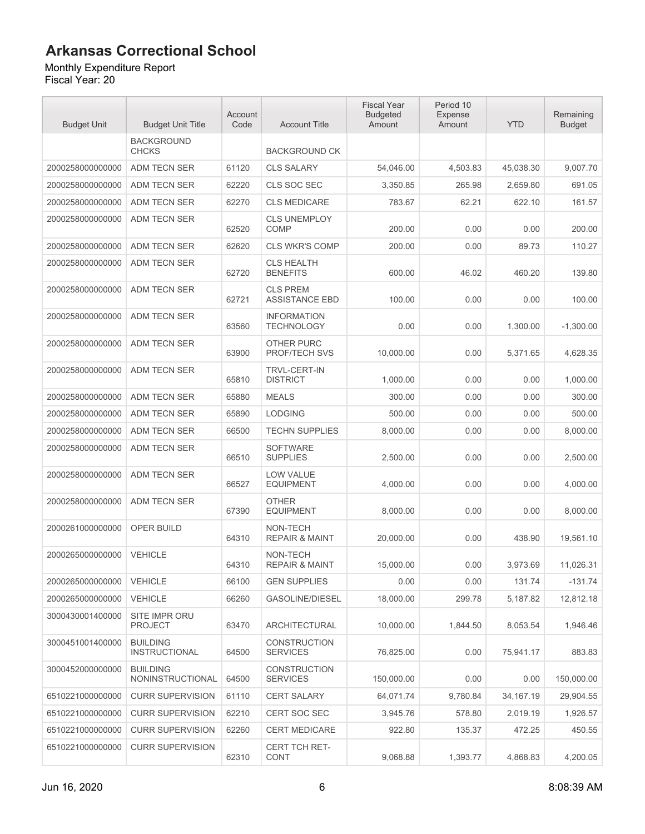#### Monthly Expenditure Report

| <b>Budget Unit</b> | <b>Budget Unit Title</b>                | Account<br>Code | <b>Account Title</b>                     | <b>Fiscal Year</b><br><b>Budgeted</b><br>Amount | Period 10<br>Expense<br>Amount | <b>YTD</b>  | Remaining<br><b>Budget</b> |
|--------------------|-----------------------------------------|-----------------|------------------------------------------|-------------------------------------------------|--------------------------------|-------------|----------------------------|
|                    | <b>BACKGROUND</b><br><b>CHCKS</b>       |                 | <b>BACKGROUND CK</b>                     |                                                 |                                |             |                            |
| 2000258000000000   | ADM TECN SER                            | 61120           | <b>CLS SALARY</b>                        | 54,046.00                                       | 4,503.83                       | 45,038.30   | 9,007.70                   |
| 2000258000000000   | ADM TECN SER                            | 62220           | CLS SOC SEC                              | 3,350.85                                        | 265.98                         | 2,659.80    | 691.05                     |
| 2000258000000000   | ADM TECN SER                            | 62270           | <b>CLS MEDICARE</b>                      | 783.67                                          | 62.21                          | 622.10      | 161.57                     |
| 2000258000000000   | ADM TECN SER                            | 62520           | <b>CLS UNEMPLOY</b><br><b>COMP</b>       | 200.00                                          | 0.00                           | 0.00        | 200.00                     |
| 2000258000000000   | <b>ADM TECN SER</b>                     | 62620           | <b>CLS WKR'S COMP</b>                    | 200.00                                          | 0.00                           | 89.73       | 110.27                     |
| 2000258000000000   | <b>ADM TECN SER</b>                     | 62720           | <b>CLS HEALTH</b><br><b>BENEFITS</b>     | 600.00                                          | 46.02                          | 460.20      | 139.80                     |
| 2000258000000000   | ADM TECN SER                            | 62721           | <b>CLS PREM</b><br><b>ASSISTANCE EBD</b> | 100.00                                          | 0.00                           | 0.00        | 100.00                     |
| 2000258000000000   | ADM TECN SER                            | 63560           | <b>INFORMATION</b><br><b>TECHNOLOGY</b>  | 0.00                                            | 0.00                           | 1,300.00    | $-1,300.00$                |
| 2000258000000000   | ADM TECN SER                            | 63900           | OTHER PURC<br><b>PROF/TECH SVS</b>       | 10,000.00                                       | 0.00                           | 5,371.65    | 4,628.35                   |
| 2000258000000000   | ADM TECN SER                            | 65810           | <b>TRVL-CERT-IN</b><br><b>DISTRICT</b>   | 1,000.00                                        | 0.00                           | 0.00        | 1,000.00                   |
| 2000258000000000   | <b>ADM TECN SER</b>                     | 65880           | <b>MEALS</b>                             | 300.00                                          | 0.00                           | 0.00        | 300.00                     |
| 2000258000000000   | ADM TECN SER                            | 65890           | <b>LODGING</b>                           | 500.00                                          | 0.00                           | 0.00        | 500.00                     |
| 2000258000000000   | ADM TECN SER                            | 66500           | <b>TECHN SUPPLIES</b>                    | 8,000.00                                        | 0.00                           | 0.00        | 8,000.00                   |
| 2000258000000000   | ADM TECN SER                            | 66510           | <b>SOFTWARE</b><br><b>SUPPLIES</b>       | 2,500.00                                        | 0.00                           | 0.00        | 2,500.00                   |
| 2000258000000000   | ADM TECN SER                            | 66527           | <b>LOW VALUE</b><br><b>EQUIPMENT</b>     | 4,000.00                                        | 0.00                           | 0.00        | 4,000.00                   |
| 2000258000000000   | <b>ADM TECN SER</b>                     | 67390           | <b>OTHER</b><br><b>EQUIPMENT</b>         | 8,000.00                                        | 0.00                           | 0.00        | 8,000.00                   |
| 2000261000000000   | OPER BUILD                              | 64310           | NON-TECH<br><b>REPAIR &amp; MAINT</b>    | 20,000.00                                       | 0.00                           | 438.90      | 19,561.10                  |
| 2000265000000000   | <b>VEHICLE</b>                          | 64310           | NON-TECH<br><b>REPAIR &amp; MAINT</b>    | 15,000.00                                       | 0.00                           | 3,973.69    | 11,026.31                  |
| 2000265000000000   | VEHICLE                                 | 66100           | <b>GEN SUPPLIES</b>                      | 0.00                                            | 0.00                           | 131.74      | $-131.74$                  |
| 2000265000000000   | <b>VEHICLE</b>                          | 66260           | <b>GASOLINE/DIESEL</b>                   | 18,000.00                                       | 299.78                         | 5,187.82    | 12,812.18                  |
| 3000430001400000   | SITE IMPR ORU<br><b>PROJECT</b>         | 63470           | <b>ARCHITECTURAL</b>                     | 10.000.00                                       | 1,844.50                       | 8,053.54    | 1,946.46                   |
| 3000451001400000   | <b>BUILDING</b><br><b>INSTRUCTIONAL</b> | 64500           | <b>CONSTRUCTION</b><br><b>SERVICES</b>   | 76,825.00                                       | 0.00                           | 75,941.17   | 883.83                     |
| 3000452000000000   | <b>BUILDING</b><br>NONINSTRUCTIONAL     | 64500           | <b>CONSTRUCTION</b><br><b>SERVICES</b>   | 150,000.00                                      | 0.00                           | 0.00        | 150,000.00                 |
| 6510221000000000   | <b>CURR SUPERVISION</b>                 | 61110           | <b>CERT SALARY</b>                       | 64,071.74                                       | 9,780.84                       | 34, 167. 19 | 29,904.55                  |
| 6510221000000000   | <b>CURR SUPERVISION</b>                 | 62210           | <b>CERT SOC SEC</b>                      | 3,945.76                                        | 578.80                         | 2,019.19    | 1,926.57                   |
| 6510221000000000   | <b>CURR SUPERVISION</b>                 | 62260           | <b>CERT MEDICARE</b>                     | 922.80                                          | 135.37                         | 472.25      | 450.55                     |
| 6510221000000000   | <b>CURR SUPERVISION</b>                 | 62310           | <b>CERT TCH RET-</b><br>CONT             | 9,068.88                                        | 1,393.77                       | 4,868.83    | 4,200.05                   |